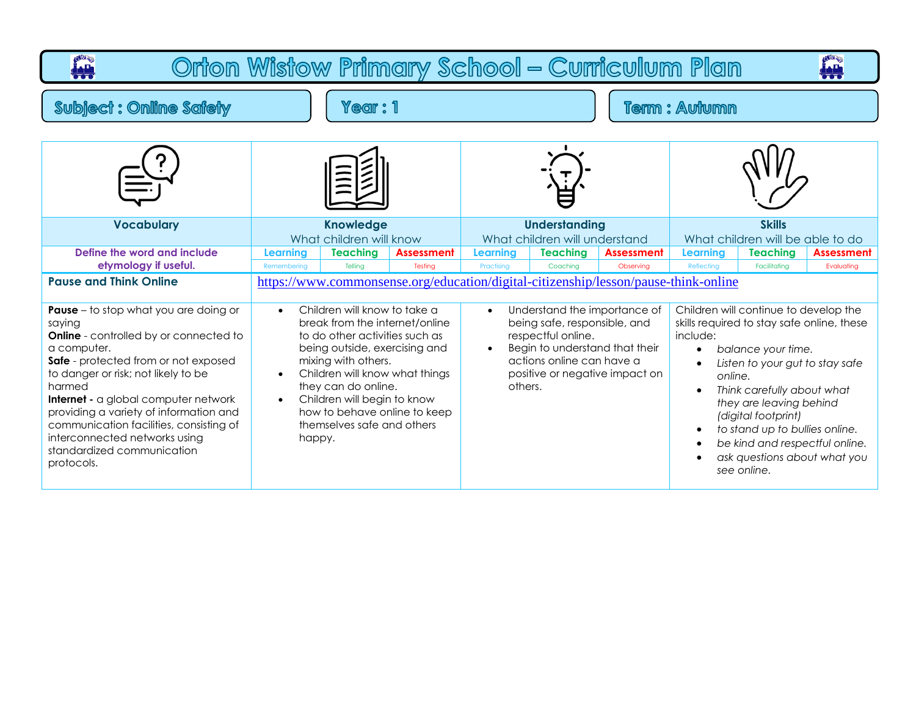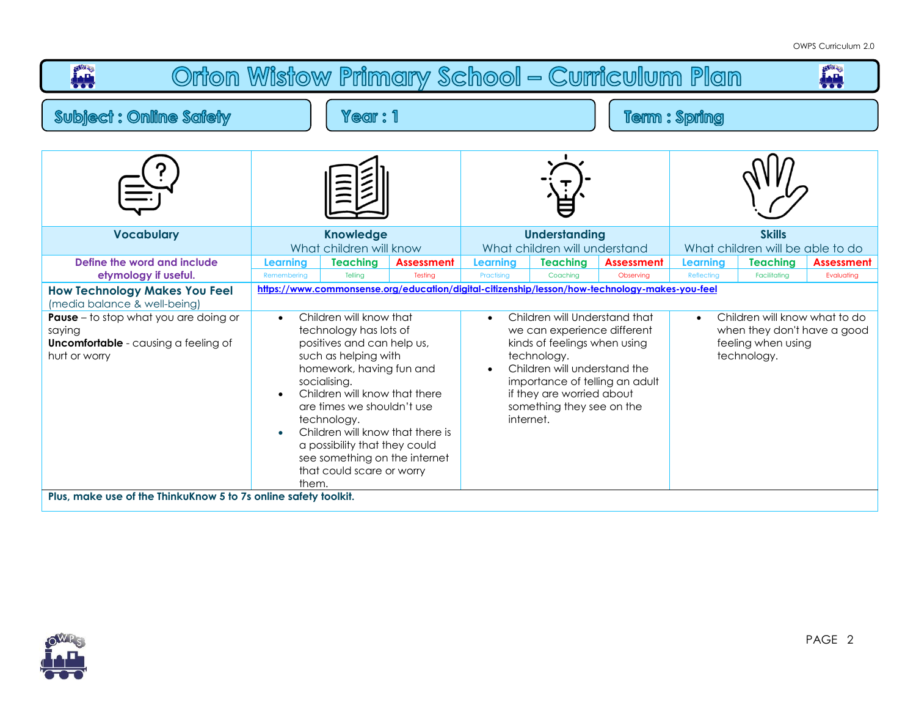## OWPS Curriculum 2.0

| <b>OWRS</b><br><b>PART</b><br>Orton Wistow Primary School - Curriculum Plan<br>₩.                                                                                                              |                                                                                                                                                                                                                                                                                                                                                                                                         |                            |                              |                                                                                                                                                                                                                                                                                                                                                                     |                             |                         |                                                                                                                |                                 |                                 |
|------------------------------------------------------------------------------------------------------------------------------------------------------------------------------------------------|---------------------------------------------------------------------------------------------------------------------------------------------------------------------------------------------------------------------------------------------------------------------------------------------------------------------------------------------------------------------------------------------------------|----------------------------|------------------------------|---------------------------------------------------------------------------------------------------------------------------------------------------------------------------------------------------------------------------------------------------------------------------------------------------------------------------------------------------------------------|-----------------------------|-------------------------|----------------------------------------------------------------------------------------------------------------|---------------------------------|---------------------------------|
| <b>Subject: Online Safety</b><br>Year : 1                                                                                                                                                      |                                                                                                                                                                                                                                                                                                                                                                                                         |                            | Term : Spring                |                                                                                                                                                                                                                                                                                                                                                                     |                             |                         |                                                                                                                |                                 |                                 |
|                                                                                                                                                                                                |                                                                                                                                                                                                                                                                                                                                                                                                         |                            |                              |                                                                                                                                                                                                                                                                                                                                                                     |                             |                         |                                                                                                                |                                 |                                 |
| <b>Vocabulary</b>                                                                                                                                                                              | <b>Knowledge</b><br>What children will know                                                                                                                                                                                                                                                                                                                                                             |                            |                              | <b>Understanding</b><br>What children will understand                                                                                                                                                                                                                                                                                                               |                             |                         | <b>Skills</b><br>What children will be able to do                                                              |                                 |                                 |
| Define the word and include<br>etymology if useful.                                                                                                                                            | Learning<br>Remembering                                                                                                                                                                                                                                                                                                                                                                                 | <b>Teaching</b><br>Telling | <b>Assessment</b><br>Testing | Learning<br>Practising                                                                                                                                                                                                                                                                                                                                              | <b>Teaching</b><br>Coachina | Assessment<br>Observing | Learning<br>Reflecting                                                                                         | <b>Teaching</b><br>Facilitating | <b>Assessment</b><br>Evaluating |
| <b>How Technology Makes You Feel</b><br>(media balance & well-being)<br><b>Pause</b> – to stop what you are doing or<br>saying<br><b>Uncomfortable</b> - causing a feeling of<br>hurt or worry | Children will know that<br>$\bullet$<br>technology has lots of<br>positives and can help us,<br>such as helping with<br>homework, having fun and<br>socialising.<br>Children will know that there<br>are times we shouldn't use<br>technology.<br>Children will know that there is<br>$\bullet$<br>a possibility that they could<br>see something on the internet<br>that could scare or worry<br>them. |                            |                              | https://www.commonsense.org/education/digital-citizenship/lesson/how-technology-makes-you-feel<br>Children will Understand that<br>$\bullet$<br>we can experience different<br>kinds of feelings when using<br>technology.<br>Children will understand the<br>importance of telling an adult<br>if they are worried about<br>something they see on the<br>internet. |                             |                         | Children will know what to do<br>$\bullet$<br>when they don't have a good<br>feeling when using<br>technology. |                                 |                                 |
| Plus, make use of the ThinkuKnow 5 to 7s online safety toolkit.                                                                                                                                |                                                                                                                                                                                                                                                                                                                                                                                                         |                            |                              |                                                                                                                                                                                                                                                                                                                                                                     |                             |                         |                                                                                                                |                                 |                                 |